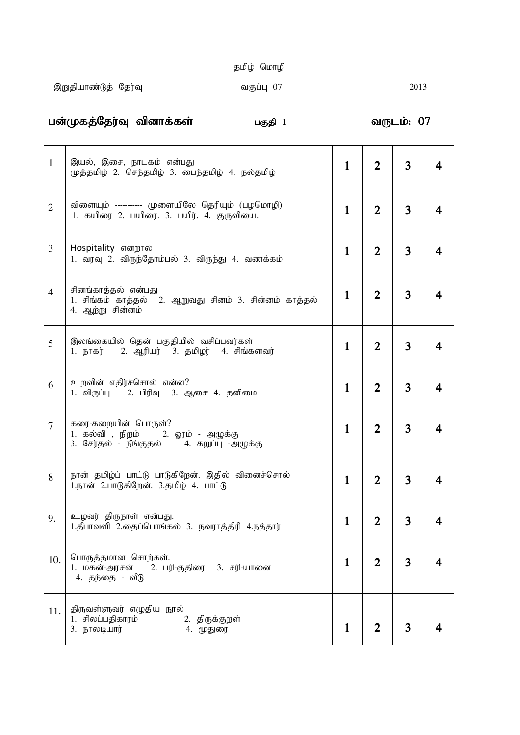|  | தமிழ் மொழி |
|--|------------|
|  |            |

gd;Kfj;Nju;T tpdhf;fs; gFjp 1 tUlk;: 07 tUlk;: 07 07

| $\mathbf{1}$   | இயல், இசை, நாடகம் என்பது<br>முத்தமிழ் 2. செந்தமிழ் 3. பைந்தமிழ் 4. நல்தமிழ்                             | $\mathbf{1}$ | $\overline{2}$ | 3 |   |
|----------------|---------------------------------------------------------------------------------------------------------|--------------|----------------|---|---|
| $\overline{2}$ | விளையும் ----------- முளையிலே தெரியும் (பழமொழி)<br>1. கயிரை 2. பயிரை. 3. பயிர். 4. குருவியை.            | $\mathbf{1}$ | $\overline{2}$ | 3 | 4 |
| 3              | Hospitality என்றால்<br>1. வரவு 2. விருந்தோம்பல் 3. விருந்து 4. வணக்கம்                                  | $\mathbf{1}$ | $\overline{2}$ | 3 | 4 |
| $\overline{4}$ | சினங்காத்தல் என்பது<br>1. சிங்கம் காத்தல் 2. ஆறுவது சினம் 3. சின்னம் காத்தல்<br>4. ஆற்று சின்னம்        | $\mathbf{1}$ | $\overline{2}$ | 3 | 4 |
| 5              | இலங்கையில் தென் பகுதியில் வசிப்பவர்கள்<br>2. ஆரியர் 3. தமிழர் 4. சிங்களவர்<br>1. நாகர்                  | $\mathbf{1}$ | $\overline{2}$ | 3 |   |
| 6              | உறவின் எதிர்ச்சொல் என்ன?<br>1. விருப்பு – 2. பிரிவு – 3. ஆசை 4. தனிமை                                   | $\mathbf{1}$ | $\overline{2}$ | 3 | 4 |
| 7              | கரை-கறையின் பொருள்?<br>1. கல்வி , நிறம் 2. ஓரம் - அழுக்கு<br>3. சேர்தல் - நீங்குதல் 4. கறுப்பு -அழுக்கு | $\mathbf{1}$ | $\overline{2}$ | 3 | 4 |
| 8              | நான் தமிழ்ப் பாட்டு பாடுகிறேன். இதில் வினைச்சொல்<br>1.நான் 2.பாடுகிறேன். 3.தமிழ் 4. பாட்டு              | $\mathbf{1}$ | $\overline{2}$ | 3 |   |
| 9.             | உழவர் திருநாள் என்பது.<br>1.தீபாவளி 2.தைப்பொங்கல் 3. நவராத்திரி 4.நத்தார்                               | 1            |                |   |   |
| 10.            | பொருத்தமான சொற்கள்.<br>1. மகன்-அரசன்<br>2. பரி-குதிரை - 3. சரி-யானை<br>4. கந்கை - வீடு                  | $\mathbf{1}$ | $\overline{2}$ | 3 |   |
| 11.            | திருவள்ளுவர் எழுதிய நூல்<br>1. சிலப்பதிகாரம்<br>2. திருக்குறள்<br>3. நாலடியார்<br>4. மூதுரை             | $\mathbf{1}$ | $\overline{2}$ | 3 |   |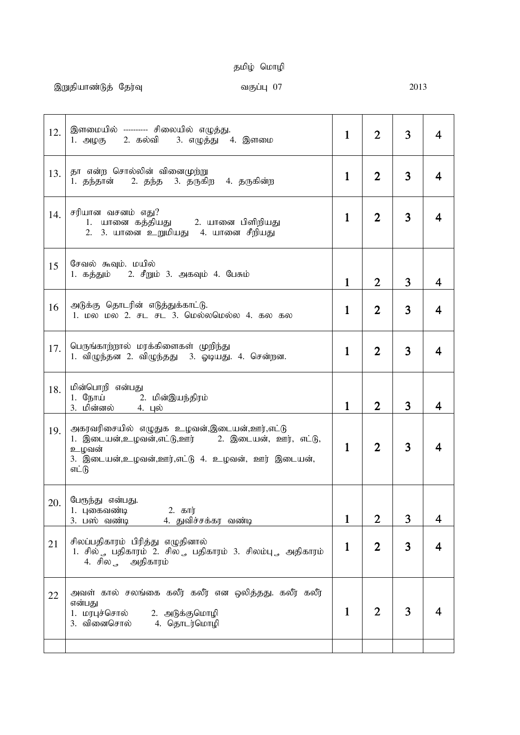# தமிழ் மொழி

| 12. | இளமையில் --------- சிலையில் எழுத்து.<br>1. அழகு    2. கல்வி     3. எழுத்து   4. இளமை                                                                                    | $\mathbf{1}$ | $\overline{2}$ | 3 |   |
|-----|-------------------------------------------------------------------------------------------------------------------------------------------------------------------------|--------------|----------------|---|---|
| 13. | தா என்ற சொல்லின் வினைமுற்று<br>1. தந்தான் – 2. தந்த – 3. தருகிற – 4. தருகின்ற                                                                                           | $\mathbf{1}$ | $\overline{2}$ | 3 | 4 |
| 14. | சரியான வசனம் எது?<br>1. யானை கத்தியது — 2. யானை பிளிறியது<br>2. 3. யானை உறுமியது 4. யானை சீறியது                                                                        | $\mathbf{1}$ | $\overline{2}$ | 3 |   |
| 15  | சேவல் கூவும். மயில்<br>1. கத்தும் 2. சீறும் 3. அகவும் 4. பேசும்                                                                                                         | $\mathbf{1}$ | $\overline{2}$ | 3 | 4 |
| 16  | அடுக்கு தொடரின் எடுத்துக்காட்டு.<br>1. மல மல 2. சட சட 3. மெல்லமெல்ல 4. கல கல                                                                                            | $\mathbf{1}$ | $\overline{2}$ | 3 | 4 |
| 17. | பெருங்காற்றால் மரக்கிளைகள் முறிந்து<br>1. விழுந்தன 2. விழுந்தது 3. ஓடியது. 4. சென்றன.                                                                                   | $\mathbf{1}$ | $\overline{2}$ | 3 | 4 |
| 18. | மின்பொறி என்பது<br>1. நோய் 2. மின்இயந்திரம்<br>3. மின்னல் 4. புல்                                                                                                       | $\mathbf{1}$ | $\overline{2}$ | 3 | 4 |
| 19. | அகரவரிசையில் எழுதுக உழவன்,இடையன்,ஊர்,எட்டு<br>1. இடையன்,உழவன்,எட்டு,ஊர்     2. இடையன், ஊர், எட்டு,<br>உழவன்<br>3. இடையன்,உழவன்,ஊர்,எட்டு 4. உழவன், ஊர் இடையன்,<br>எட்டு | $\mathbf{1}$ | $\overline{2}$ | 3 |   |
| 20. | பேருந்து என்பது.<br>2. கார்<br>1. புகைவணடி<br>4. துவிச்சக்கர வண்டி<br>3. பஸ் வண்டி                                                                                      | 1            | $\overline{2}$ | 3 | 4 |
| 21  | சிலப்பதிகாரம் பிரித்து எழுதினால்<br>1. சில் ., பதிகாரம் 2. சில ., பதிகாரம் 3. சிலம்பு ., அதிகாரம்<br>4. சில<br>அதிகாரம்                                                 | $\mathbf{1}$ | $\overline{2}$ | 3 | 4 |
| 22  | அவள் கால் சலங்கை கலீர் கலீர் என ஒலித்தது. கலீர் கலீர்<br>என்பது<br>1. மரபுச்சொல்<br>2. அடுக்குமொழி<br>3. வினைசொல்<br>4. தொடர்மொழி                                       | $\mathbf{1}$ | 2              | 3 |   |
|     |                                                                                                                                                                         |              |                |   |   |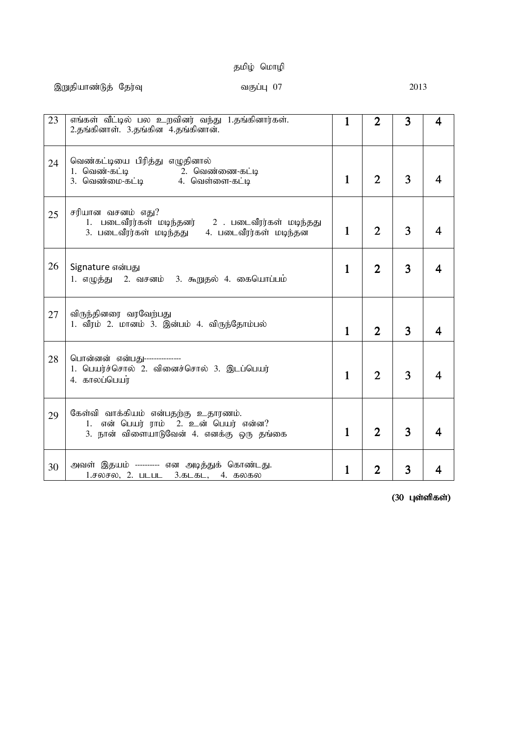# தமிழ் மொழி

| 23 | எங்கள் வீட்டில் பல உறவினர் வந்து 1.தங்கினார்கள்.<br>2.தங்கினாள். 3.தங்கின 4.தங்கினான்.                                      | $\mathbf{1}$ | $\overline{2}$ | 3 | 4 |
|----|-----------------------------------------------------------------------------------------------------------------------------|--------------|----------------|---|---|
| 24 | வெண்கட்டியை பிரித்து எழுதினால்                                                                                              | $\mathbf{1}$ | $\overline{2}$ | 3 |   |
| 25 | சரியான வசனம் எது?<br>1. படைவீரர்கள் மடிந்தனர் 2 . படைவீரர்கள் மடிந்தது<br>3. படைவீரர்கள் மடிந்தது<br>4. படைவீரர்கள் மடிந்தன | $\mathbf{1}$ | $\overline{2}$ | 3 |   |
| 26 | Signature என்பது<br>1. எழுத்து 2. வசனம் 3. கூறுதல் 4. கையொப்பம்                                                             | $\mathbf{1}$ | $\overline{2}$ | 3 |   |
| 27 | விருந்தினரை வரவேற்பது<br>1. வீரம் 2. மானம் 3. இன்பம் 4. விருந்தோம்பல்                                                       | $\mathbf{1}$ | $\overline{2}$ | 3 |   |
| 28 | பொன்னன் என்பது---------------<br>1. பெயர்ச்சொல் 2. வினைச்சொல் 3. இடப்பெயர்<br>4. காலப்பெயர்                                 | $\mathbf{1}$ | $\overline{2}$ | 3 |   |
| 29 | கேள்வி வாக்கியம் என்பதற்கு உதாரணம்.<br>1. என் பெயர் ராம் 2. உன் பெயர் என்ன?<br>3. நான் விளையாடுவேன் 4. எனக்கு ஒரு தங்கை     | $\mathbf{1}$ | $\overline{2}$ | 3 |   |
| 30 | அவள் இதயம் --------- என அடித்துக் கொண்டது.<br>1.சலசல, 2. படபட 3.கடகட, 4. கலகல                                               | $\mathbf{1}$ | $\overline{2}$ | 3 |   |

 $(30 \; \mu$ ள்ளிகள்)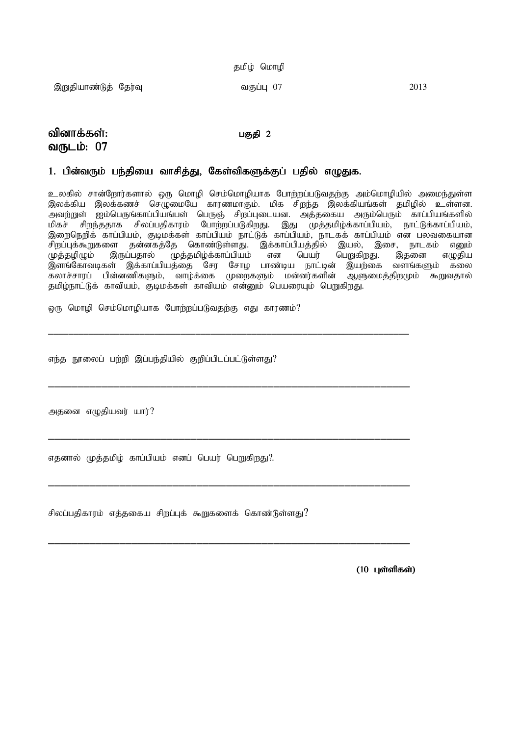|  | தமிழ் மொழி |
|--|------------|
|  |            |

,Wjpahz;Lj; Nju;T tFg;G 07 2013

## tpdhf;fs;: tpdhf;fs;: gFjp 2 gFjp 2 வருடம்: 07

### 1. பின்வரும் பந்தியை வாசித்து, கேள்விகளுக்குப் பதில் எழுதுக.

உலகில் சான்றோர்களால் ஒரு மொழி செம்மொழியாக போற்றப்படுவதற்கு அம்மொழியில் அமைந்துள்ள இலக்கிய இலக்கணச் செழுமையே காரணமாகும். மிக சிறந்த இலக்கியங்கள் தமிழில் உள்ளன. அவற்றுள் ஐம்பெருங்காப்பியங்பள் பெருஞ் சிறப்புடையன. அத்தகைய அரும்பெரும் காப்பியங்களில்<br>மிகச் சிறந்ததாக சிலப்பதிகாரம் போற்றப்படுகிறது. இது முக்கமிம்க்காப்பியம். நாட்டுக்காப்பியம். .<br>சிறந்ததாக சிலப்பதிகாரம் போற்றப்படுகிறது. இது முத்தமிழ்க்காப்பியம், நாட்டுக்காப்பியம், இறைநெறிக் காப்பியம், குடிமக்கள் காப்பியம் நாட்டுக் காப்பியம், நாடகக் காப்பியம் என பலவகையான சிறப்புக்கூறுகளை தன்னகத்தே கொண்டுள்ளது. இக்காப்பியத்தில் இயல், இசை, நாடகம் எனும்<br>முத்தழிழும் இருப்பதால் முத்தமிழ்க்காப்பியம் என பெயர் பெறுகிறது. இதனை எமுகிய .<br>முத்தமிழ்க்காப்பியம் என பெயர் பெறுகிறது. இதனை எழுதிய<br>பத்தை சேர சோழ பாண்டிய நாட்டின் இயற்கை வளங்களும் கலை , ஒளங்கோவடிகள் இக்காப்பியத்தை சேர சோழ பாண்டிய நாட்டின் இயற்கை வளங்களும் கலை<br>கலாச்சாரப் பின்னணிகளும், வாழ்க்கை முறைகளும் மன்னர்களின் ஆளுமைத்திறமும் கூறுவதால் கலாச்சாரப் பின்னணிகளும், வாழ்க்கை முறைகளும் மன்னர்களின் தமிழ்நாட்டுக் காவியம், குடிமக்கள் காவியம் என்னும் பெயரையும் பெறுகிறது.

\_\_\_\_\_\_\_\_\_\_\_\_\_\_\_\_\_\_\_\_\_\_\_\_\_\_\_\_\_\_\_\_\_\_\_\_\_\_\_\_\_\_\_\_\_\_\_\_\_\_\_\_\_\_\_\_\_\_\_\_\_\_\_\_\_\_\_\_\_\_\_

\_\_\_\_\_\_\_\_\_\_\_\_\_\_\_\_\_\_\_\_\_\_\_\_\_\_\_\_\_\_\_\_\_\_\_\_\_\_\_\_\_\_\_\_\_\_\_\_\_\_\_\_\_\_\_\_\_\_\_\_\_

\_\_\_\_\_\_\_\_\_\_\_\_\_\_\_\_\_\_\_\_\_\_\_\_\_\_\_\_\_\_\_\_\_\_\_\_\_\_\_\_\_\_\_\_\_\_\_\_\_\_\_\_\_\_\_\_\_\_\_\_\_

\_\_\_\_\_\_\_\_\_\_\_\_\_\_\_\_\_\_\_\_\_\_\_\_\_\_\_\_\_\_\_\_\_\_\_\_\_\_\_\_\_\_\_\_\_\_\_\_\_\_\_\_\_\_\_\_\_\_\_\_\_

\_\_\_\_\_\_\_\_\_\_\_\_\_\_\_\_\_\_\_\_\_\_\_\_\_\_\_\_\_\_\_\_\_\_\_\_\_\_\_\_\_\_\_\_\_\_\_\_\_\_\_\_\_\_\_\_\_\_\_\_\_

ஒரு மொழி செம்மொழியாக போற்றப்படுவதற்கு எது காரணம்?

எந்த நூலைப் பற்றி இப்பந்தியில் குறிப்பிடப்பட்டுள்ளது?

அதனை எழுதியவர் யார்?

எதனால் முத்தமிழ் காப்பியம் எனப் பெயர் பெறுகிறது?.

சிலப்பதிகாரம் எத்தகைய சிறப்புக் கூறுகளைக் கொண்டுள்ளது $?$ 

 $(10 \;$ புள்ளிகள்)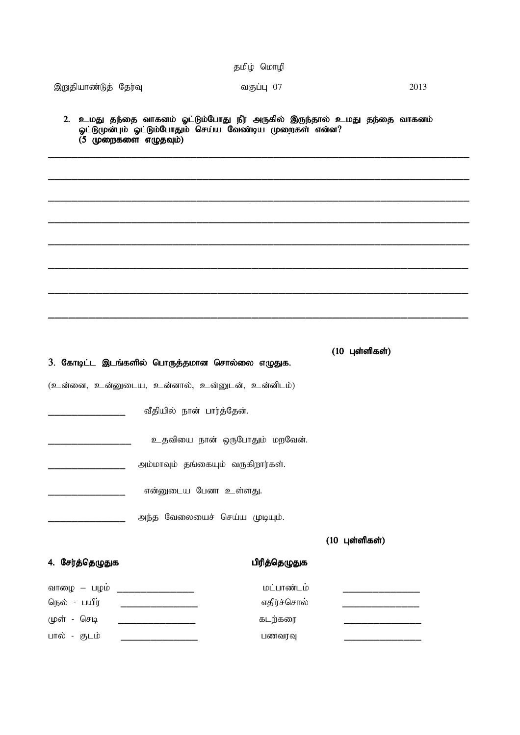|                      |                                                | தமிழ் மொழி                                              |                                                                           |
|----------------------|------------------------------------------------|---------------------------------------------------------|---------------------------------------------------------------------------|
| இறுதியாண்டுத் தேர்வு |                                                | வகுப்பு 07                                              | 2013                                                                      |
|                      | $(5 \text{ up}$ றைகளை எழுதவும்)                | ஓட்டுமுன்பும் ஓட்டும்போதும் செய்ய வேண்டிய முறைகள் என்ன? | 2. உமது தந்தை வாகனம் ஓட்டும்போது நீர் அருகில் இருந்தால் உமது தந்தை வாகனம் |
|                      |                                                |                                                         |                                                                           |
|                      |                                                |                                                         |                                                                           |
|                      |                                                |                                                         |                                                                           |
|                      |                                                |                                                         |                                                                           |
|                      |                                                |                                                         |                                                                           |
|                      |                                                |                                                         |                                                                           |
|                      |                                                |                                                         |                                                                           |
|                      | 3. கோடிட்ட இடங்களில் பொருத்தமான சொல்லை எழுதுக. |                                                         | $(10 \text{ L}$ ள்ளிகள்)                                                  |
|                      | (உன்னை, உன்னுடைய, உன்னால், உன்னுடன், உன்னிடம்) |                                                         |                                                                           |
|                      | வீதியில் நான் பார்த்தேன்.                      |                                                         |                                                                           |
|                      |                                                | உதவியை நான் ஒருபோதும் மறவேன்.                           |                                                                           |
|                      | அம்மாவும் தங்கையும் வருகிறார்கள்.              |                                                         |                                                                           |
|                      | என்னுடைய பேனா உள்ளது.                          |                                                         |                                                                           |
|                      | அந்த வேலையைச் செய்ய முடியும்.                  |                                                         |                                                                           |
|                      |                                                |                                                         | $(10 \text{ L}$ ள்ளிகள்)                                                  |
| 4. சேர்த்தெழுதுக     |                                                | பிரித்தெழுதுக                                           |                                                                           |
| வாழை – பழம்          |                                                | மட்பாண்டம்                                              |                                                                           |
| நெல் - பயிர்         |                                                | எதிர்ச்சொல்                                             |                                                                           |
| முள் - செடி          |                                                | கடற்கரை                                                 |                                                                           |
| பால் - குடம்         |                                                | பணவரவு                                                  |                                                                           |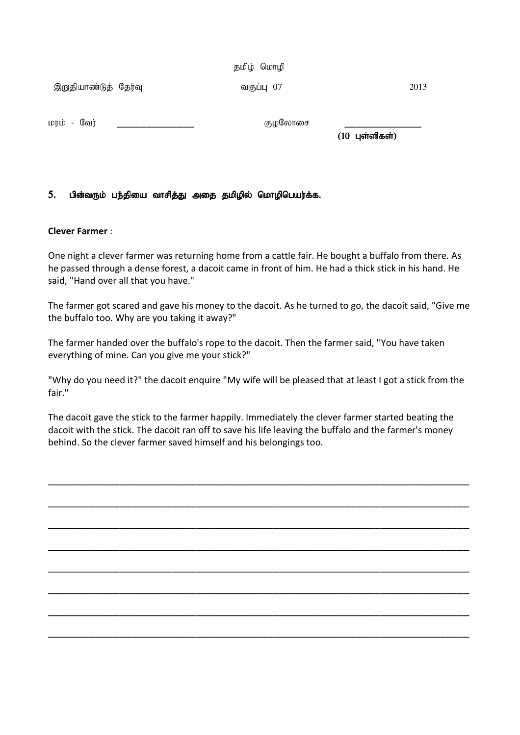தமிழ் மொழி

,Wjpahz;Lj; Nju;T tFg;G 07 2013

kuk; - Ntu; \_\_\_\_\_\_\_\_\_\_\_\_\_ FoNyhir \_\_\_\_\_\_\_\_\_\_\_\_\_

 $(10 \text{ L}$ ள்ளிகள்)

## 5. பின்வரும் பந்தியை வாசித்து அதை தமிழில் மொழிபெயர்க்க.

### Clever Farmer :

One night a clever farmer was returning home from a cattle fair. He bought a buffalo from there. As he passed through a dense forest, a dacoit came in front of him. He had a thick stick in his hand. He said, "Hand over all that you have."

The farmer got scared and gave his money to the dacoit. As he turned to go, the dacoit said, "Give me the buffalo too. Why are you taking it away?"

The farmer handed over the buffalo's rope to the dacoit. Then the farmer said, ''You have taken everything of mine. Can you give me your stick?"

"Why do you need it?" the dacoit enquire "My wife will be pleased that at least I got a stick from the fair."

The dacoit gave the stick to the farmer happily. Immediately the clever farmer started beating the dacoit with the stick. The dacoit ran off to save his life leaving the buffalo and the farmer's money behind. So the clever farmer saved himself and his belongings too.

\_\_\_\_\_\_\_\_\_\_\_\_\_\_\_\_\_\_\_\_\_\_\_\_\_\_\_\_\_\_\_\_\_\_\_\_\_\_\_\_\_\_\_\_\_\_\_\_\_\_\_\_\_\_\_\_\_\_\_\_\_\_\_\_\_\_\_\_\_\_\_

\_\_\_\_\_\_\_\_\_\_\_\_\_\_\_\_\_\_\_\_\_\_\_\_\_\_\_\_\_\_\_\_\_\_\_\_\_\_\_\_\_\_\_\_\_\_\_\_\_\_\_\_\_\_\_\_\_\_\_\_\_\_\_\_\_\_\_\_\_\_\_

\_\_\_\_\_\_\_\_\_\_\_\_\_\_\_\_\_\_\_\_\_\_\_\_\_\_\_\_\_\_\_\_\_\_\_\_\_\_\_\_\_\_\_\_\_\_\_\_\_\_\_\_\_\_\_\_\_\_\_\_\_\_\_\_\_\_\_\_\_\_\_

\_\_\_\_\_\_\_\_\_\_\_\_\_\_\_\_\_\_\_\_\_\_\_\_\_\_\_\_\_\_\_\_\_\_\_\_\_\_\_\_\_\_\_\_\_\_\_\_\_\_\_\_\_\_\_\_\_\_\_\_\_\_\_\_\_\_\_\_\_\_\_

\_\_\_\_\_\_\_\_\_\_\_\_\_\_\_\_\_\_\_\_\_\_\_\_\_\_\_\_\_\_\_\_\_\_\_\_\_\_\_\_\_\_\_\_\_\_\_\_\_\_\_\_\_\_\_\_\_\_\_\_\_\_\_\_\_\_\_\_\_\_\_

\_\_\_\_\_\_\_\_\_\_\_\_\_\_\_\_\_\_\_\_\_\_\_\_\_\_\_\_\_\_\_\_\_\_\_\_\_\_\_\_\_\_\_\_\_\_\_\_\_\_\_\_\_\_\_\_\_\_\_\_\_\_\_\_\_\_\_\_\_\_\_

\_\_\_\_\_\_\_\_\_\_\_\_\_\_\_\_\_\_\_\_\_\_\_\_\_\_\_\_\_\_\_\_\_\_\_\_\_\_\_\_\_\_\_\_\_\_\_\_\_\_\_\_\_\_\_\_\_\_\_\_\_\_\_\_\_\_\_\_\_\_\_

\_\_\_\_\_\_\_\_\_\_\_\_\_\_\_\_\_\_\_\_\_\_\_\_\_\_\_\_\_\_\_\_\_\_\_\_\_\_\_\_\_\_\_\_\_\_\_\_\_\_\_\_\_\_\_\_\_\_\_\_\_\_\_\_\_\_\_\_\_\_\_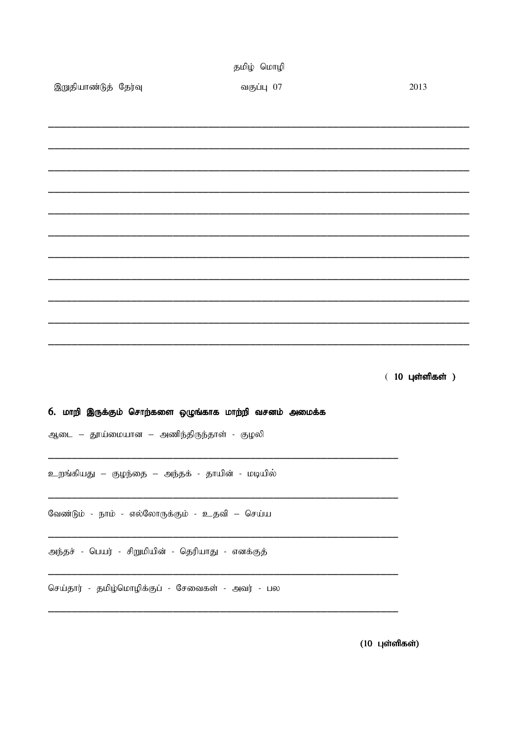|                      | தமிழ் மொழி                                             |                             |
|----------------------|--------------------------------------------------------|-----------------------------|
| இறுதியாண்டுத் தேர்வு | வகுப்பு 07                                             | 2013                        |
|                      |                                                        |                             |
|                      |                                                        |                             |
|                      |                                                        |                             |
|                      |                                                        |                             |
|                      |                                                        |                             |
|                      |                                                        |                             |
|                      |                                                        |                             |
|                      |                                                        |                             |
|                      |                                                        |                             |
|                      |                                                        |                             |
|                      |                                                        |                             |
|                      |                                                        |                             |
|                      |                                                        |                             |
|                      |                                                        |                             |
|                      |                                                        | $(10 \text{ L}$ ள்ளிகள் $)$ |
|                      |                                                        |                             |
|                      | 6. மாறி இருக்கும் சொற்களை ஒழுங்காக மாற்றி வசனம் அமைக்க |                             |
|                      | ஆடை – தூய்மையான – அணிந்திருந்தாள் - குழலி              |                             |
|                      |                                                        |                             |
|                      |                                                        |                             |
|                      | உறங்கியது – குழந்தை – அந்தக் - தாயின் - மடியில்        |                             |
|                      |                                                        |                             |
|                      | வேண்டும் - நாம் - எல்லோருக்கும் - உதவி – செய்ய         |                             |
|                      |                                                        |                             |
|                      | அந்தச் - பெயர் - சிறுமியின் - தெரியாது - எனக்குத்      |                             |
|                      |                                                        |                             |
|                      | செய்தார் - தமிழ்மொழிக்குப் - சேவைகள் - அவர் - பல       |                             |
|                      |                                                        |                             |
|                      |                                                        |                             |
|                      |                                                        | $(10 \text{ L}$ ள்ளிகள்)    |